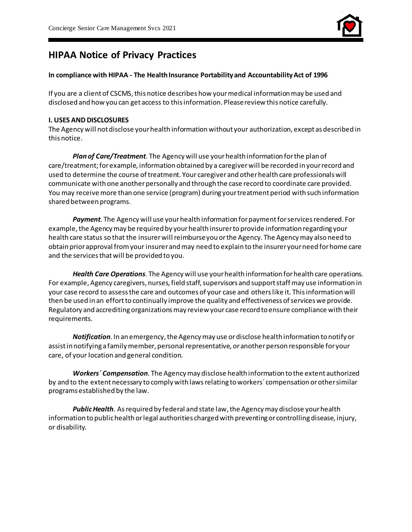

# **HIPAA Notice of Privacy Practices**

## **In compliance with HIPAA - The Health Insurance Portability and Accountability Act of 1996**

If you are a client of CSCMS, this notice describes how your medical information may be used and disclosed and how you can get access to this information. Please review this notice carefully.

#### **I. USES AND DISCLOSURES**

The Agency will not disclose your health information without your authorization, except as described in this notice.

*Plan of Care/Treatment.* The Agency will use your health information for the plan of care/treatment; for example, information obtained by a caregiverwill be recorded in your record and used to determine the course of treatment. Your caregiver and other health care professionals will communicate with one another personally and through the case record to coordinate care provided. You may receive more than one service (program) during your treatment period with such information shared between programs.

*Payment.* The Agency will use your health information for payment for services rendered. For example, the Agency may be required by your health insurer to provide information regarding your health care status so that the insurer will reimburse you or the Agency. The Agency may also need to obtain prior approval from your insurer and may need to explain to the insurer your need for home care and the services that will be provided to you.

*Health Care Operations.* The Agency will use your health information for health care operations. For example, Agency caregivers, nurses, field staff, supervisors and support staff may use information in your case record to assess the care and outcomes of your case and others like it. This information will then be used in an effort to continually improve the quality and effectiveness of services we provide. Regulatory and accrediting organizations may review your case record to ensure compliance with their requirements.

*Notification.* In an emergency, the Agency may use or disclose health information to notify or assist in notifying a family member, personal representative, or another person responsible for your care, of your location and general condition.

*Workers´ Compensation.* The Agency may disclose health information to the extent authorized by and to the extent necessary to comply with laws relating to workers´ compensation or other similar programs established by the law.

*Public Health.* As required by federal and state law, the Agency may disclose your health information to public health or legal authorities charged with preventing or controlling disease, injury, or disability.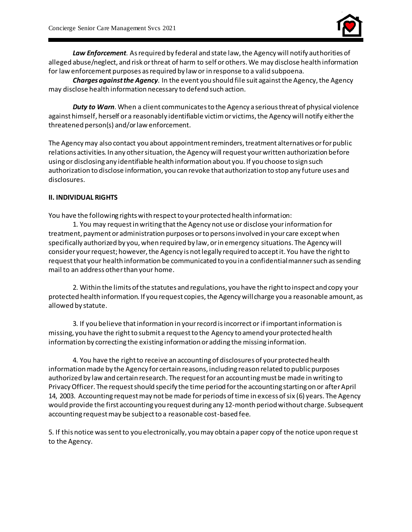

*Law Enforcement.* As required by federal and state law, the Agency will notify authorities of alleged abuse/neglect, and risk or threat of harm to self or others. We may disclose health information for law enforcement purposes as required by law or in response to a valid subpoena.

*Charges against the Agency.* In the event you should file suit against the Agency, the Agency may disclose health information necessary to defend such action.

*Duty to Warn.* When a client communicates to the Agency a serious threat of physical violence against himself, herself or a reasonably identifiable victim or victims, the Agency will notify either the threatened person(s) and/or law enforcement.

The Agency may also contact you about appointment reminders, treatment alternatives or for public relations activities. In any other situation, the Agency will request your written authorization before using or disclosing any identifiable health information about you. If you choose to sign such authorization to disclose information, you can revoke that authorization to stop any future uses and disclosures.

# **II. INDIVIDUAL RIGHTS**

You have the following rights with respect to your protected health information:

1. You may request in writing that the Agency not use or disclose your information for treatment, payment or administration purposes or to persons involved in your care except when specifically authorized by you, when required by law, or in emergency situations. The Agency will consider your request; however, the Agency is not legally required to accept it. You have the right to request that your health information be communicated to you in a confidential manner such as sending mail to an address other than your home.

2. Within the limits of the statutes and regulations, you have the right to inspect and copy your protected health information. If you request copies, the Agency will charge you a reasonable amount, as allowed by statute.

3. If you believe that information in your record is incorrect or if important information is missing, you have the right to submit a request to the Agency to amend your protected health information by correcting the existing information or adding the missing information.

4. You have the right to receive an accounting of disclosures of your protected health information made by the Agency for certain reasons, including reason related to public purposes authorized by law and certain research. The request for an accounting must be made in writing to Privacy Officer. The request should specify the time period for the accounting starting on or after April 14, 2003. Accounting request may not be made for periods of time in excess of six (6) years. The Agency would provide the first accounting you request during any 12-month period without charge. Subsequent accounting request may be subject to a reasonable cost-based fee.

5. If this notice was sent to you electronically, you may obtain a paper copy of the notice upon reque st to the Agency.